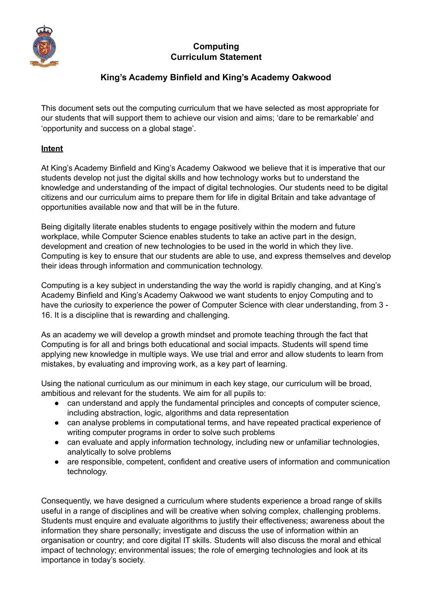

# **Computing Curriculum Statement**

# **King's Academy Binfield and King's Academy Oakwood**

This document sets out the computing curriculum that we have selected as most appropriate for our students that will support them to achieve our vision and aims; 'dare to be remarkable' and 'opportunity and success on a global stage'.

#### **Intent**

At King's Academy Binfield and King's Academy Oakwood we believe that it is imperative that our students develop not just the digital skills and how technology works but to understand the knowledge and understanding of the impact of digital technologies. Our students need to be digital citizens and our curriculum aims to prepare them for life in digital Britain and take advantage of opportunities available now and that will be in the future.

Being digitally literate enables students to engage positively within the modern and future workplace, while Computer Science enables students to take an active part in the design, development and creation of new technologies to be used in the world in which they live. Computing is key to ensure that our students are able to use, and express themselves and develop their ideas through information and communication technology.

Computing is a key subject in understanding the way the world is rapidly changing, and at King's Academy Binfield and King's Academy Oakwood we want students to enjoy Computing and to have the curiosity to experience the power of Computer Science with clear understanding, from 3 - 16. It is a discipline that is rewarding and challenging.

As an academy we will develop a growth mindset and promote teaching through the fact that Computing is for all and brings both educational and social impacts. Students will spend time applying new knowledge in multiple ways. We use trial and error and allow students to learn from mistakes, by evaluating and improving work, as a key part of learning.

Using the national curriculum as our minimum in each key stage, our curriculum will be broad, ambitious and relevant for the students. We aim for all pupils to:

- can understand and apply the fundamental principles and concepts of computer science, including abstraction, logic, algorithms and data representation
- can analyse problems in computational terms, and have repeated practical experience of writing computer programs in order to solve such problems
- can evaluate and apply information technology, including new or unfamiliar technologies, analytically to solve problems
- are responsible, competent, confident and creative users of information and communication technology.

Consequently, we have designed a curriculum where students experience a broad range of skills useful in a range of disciplines and will be creative when solving complex, challenging problems. Students must enquire and evaluate algorithms to justify their effectiveness; awareness about the information they share personally; investigate and discuss the use of information within an organisation or country; and core digital IT skills. Students will also discuss the moral and ethical impact of technology; environmental issues; the role of emerging technologies and look at its importance in today's society.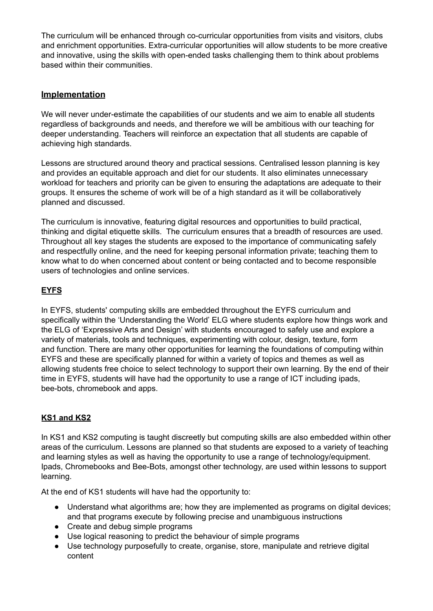The curriculum will be enhanced through co-curricular opportunities from visits and visitors, clubs and enrichment opportunities. Extra-curricular opportunities will allow students to be more creative and innovative, using the skills with open-ended tasks challenging them to think about problems based within their communities.

### **Implementation**

We will never under-estimate the capabilities of our students and we aim to enable all students regardless of backgrounds and needs, and therefore we will be ambitious with our teaching for deeper understanding. Teachers will reinforce an expectation that all students are capable of achieving high standards.

Lessons are structured around theory and practical sessions. Centralised lesson planning is key and provides an equitable approach and diet for our students. It also eliminates unnecessary workload for teachers and priority can be given to ensuring the adaptations are adequate to their groups. It ensures the scheme of work will be of a high standard as it will be collaboratively planned and discussed.

The curriculum is innovative, featuring digital resources and opportunities to build practical, thinking and digital etiquette skills. The curriculum ensures that a breadth of resources are used. Throughout all key stages the students are exposed to the importance of communicating safely and respectfully online, and the need for keeping personal information private; teaching them to know what to do when concerned about content or being contacted and to become responsible users of technologies and online services.

### **EYFS**

In EYFS, students' computing skills are embedded throughout the EYFS curriculum and specifically within the 'Understanding the World' ELG where students explore how things work and the ELG of 'Expressive Arts and Design' with students encouraged to safely use and explore a variety of materials, tools and techniques, experimenting with colour, design, texture, form and function. There are many other opportunities for learning the foundations of computing within EYFS and these are specifically planned for within a variety of topics and themes as well as allowing students free choice to select technology to support their own learning. By the end of their time in EYFS, students will have had the opportunity to use a range of ICT including ipads, bee-bots, chromebook and apps.

# **KS1 and KS2**

In KS1 and KS2 computing is taught discreetly but computing skills are also embedded within other areas of the curriculum. Lessons are planned so that students are exposed to a variety of teaching and learning styles as well as having the opportunity to use a range of technology/equipment. Ipads, Chromebooks and Bee-Bots, amongst other technology, are used within lessons to support learning.

At the end of KS1 students will have had the opportunity to:

- Understand what algorithms are; how they are implemented as programs on digital devices; and that programs execute by following precise and unambiguous instructions
- Create and debug simple programs
- Use logical reasoning to predict the behaviour of simple programs
- Use technology purposefully to create, organise, store, manipulate and retrieve digital content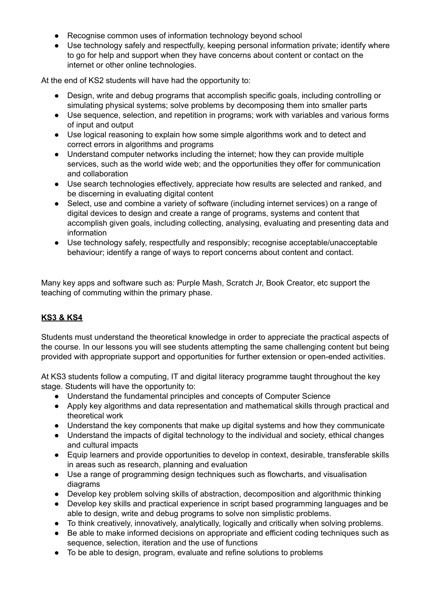- Recognise common uses of information technology beyond school
- Use technology safely and respectfully, keeping personal information private; identify where to go for help and support when they have concerns about content or contact on the internet or other online technologies.

At the end of KS2 students will have had the opportunity to:

- Design, write and debug programs that accomplish specific goals, including controlling or simulating physical systems; solve problems by decomposing them into smaller parts
- Use sequence, selection, and repetition in programs; work with variables and various forms of input and output
- Use logical reasoning to explain how some simple algorithms work and to detect and correct errors in algorithms and programs
- Understand computer networks including the internet; how they can provide multiple services, such as the world wide web; and the opportunities they offer for communication and collaboration
- Use search technologies effectively, appreciate how results are selected and ranked, and be discerning in evaluating digital content
- Select, use and combine a variety of software (including internet services) on a range of digital devices to design and create a range of programs, systems and content that accomplish given goals, including collecting, analysing, evaluating and presenting data and information
- Use technology safely, respectfully and responsibly; recognise acceptable/unacceptable behaviour; identify a range of ways to report concerns about content and contact.

Many key apps and software such as: Purple Mash, Scratch Jr, Book Creator, etc support the teaching of commuting within the primary phase.

#### **KS3 & KS4**

Students must understand the theoretical knowledge in order to appreciate the practical aspects of the course. In our lessons you will see students attempting the same challenging content but being provided with appropriate support and opportunities for further extension or open-ended activities.

At KS3 students follow a computing, IT and digital literacy programme taught throughout the key stage. Students will have the opportunity to:

- Understand the fundamental principles and concepts of Computer Science
- Apply key algorithms and data representation and mathematical skills through practical and theoretical work
- Understand the key components that make up digital systems and how they communicate
- Understand the impacts of digital technology to the individual and society, ethical changes and cultural impacts
- Equip learners and provide opportunities to develop in context, desirable, transferable skills in areas such as research, planning and evaluation
- Use a range of programming design techniques such as flowcharts, and visualisation diagrams
- Develop key problem solving skills of abstraction, decomposition and algorithmic thinking
- Develop key skills and practical experience in script based programming languages and be able to design, write and debug programs to solve non simplistic problems.
- To think creatively, innovatively, analytically, logically and critically when solving problems.
- Be able to make informed decisions on appropriate and efficient coding techniques such as sequence, selection, iteration and the use of functions
- To be able to design, program, evaluate and refine solutions to problems